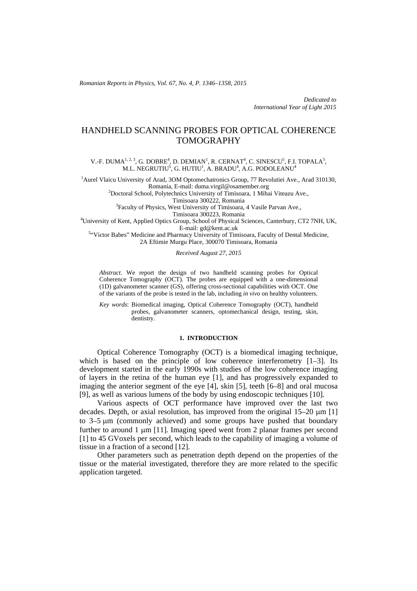*Romanian Reports in Physics, Vol. 67, No. 4, P. 1346–1358, 2015*

*Dedicated to International Year of Light 2015*

# HANDHELD SCANNING PROBES FOR OPTICAL COHERENCE TOMOGRAPHY

V.-F. DUMA<sup>1, 2, 3</sup>, G. DOBRE<sup>4</sup>, D. DEMIAN<sup>1</sup>, R. CERNAT<sup>4</sup>, C. SINESCU<sup>5</sup>, F.I. TOPALA<sup>5</sup>, M.L. NEGRUTIU<sup>5</sup>, G. HUTIU<sup>1</sup>, A. BRADU<sup>4</sup>, A.G. PODOLEANU<sup>4</sup>

<sup>1</sup> Aurel Vlaicu University of Arad, 30M Optomechatronics Group, 77 Revolutiei Ave., Arad 310130, Romania, E-mail: duma.virgil@osamember.org 2

<sup>2</sup>Doctoral School, Polytechnics University of Timisoara, 1 Mihai Viteazu Ave.,

Timisoara 300222, Romania<br>
<sup>3</sup> Faculty of Physics, West University of Timisoara, 4 Vasile Parvan Ave.,

Timisoara 300223, Romania<br><sup>4</sup>University of Kent, Applied Optics Group, School of Physical Sciences, Canterbury, CT2 7NH, UK,

E-mail: gd@kent.ac.uk<br><sup>5</sup> Victor Babes" Medicine and Pharmacy University of Timisoara, Faculty of Dental Medicine, 2A Eftimie Murgu Place, 300070 Timisoara, Romania

#### *Received August 27, 2015*

*Abstract*. We report the design of two handheld scanning probes for Optical Coherence Tomography (OCT). The probes are equipped with a one-dimensional (1D) galvanometer scanner (GS), offering cross-sectional capabilities with OCT. One of the variants of the probe is tested in the lab, including *in vivo* on healthy volunteers.

*Key words*: Biomedical imaging, Optical Coherence Tomography (OCT), handheld probes, galvanometer scanners, optomechanical design, testing, skin, dentistry.

### **1. INTRODUCTION**

Optical Coherence Tomography (OCT) is a biomedical imaging technique, which is based on the principle of low coherence interferometry  $[1-3]$ . Its development started in the early 1990s with studies of the low coherence imaging of layers in the retina of the human eye [1], and has progressively expanded to imaging the anterior segment of the eye [4], skin [5], teeth [6–8] and oral mucosa [9], as well as various lumens of the body by using endoscopic techniques [10].

Various aspects of OCT performance have improved over the last two decades. Depth, or axial resolution, has improved from the original 15–20 μm [1] to 3–5 μm (commonly achieved) and some groups have pushed that boundary further to around 1 μm [11]. Imaging speed went from 2 planar frames per second [1] to 45 GVoxels per second, which leads to the capability of imaging a volume of tissue in a fraction of a second [12].

Other parameters such as penetration depth depend on the properties of the tissue or the material investigated, therefore they are more related to the specific application targeted.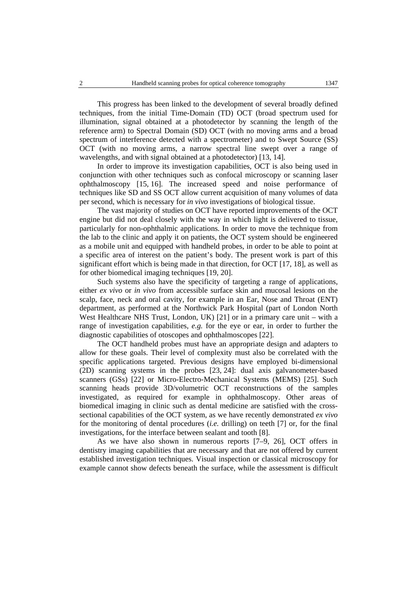This progress has been linked to the development of several broadly defined techniques, from the initial Time-Domain (TD) OCT (broad spectrum used for illumination, signal obtained at a photodetector by scanning the length of the reference arm) to Spectral Domain (SD) OCT (with no moving arms and a broad spectrum of interference detected with a spectrometer) and to Swept Source (SS) OCT (with no moving arms, a narrow spectral line swept over a range of wavelengths, and with signal obtained at a photodetector) [13, 14].

In order to improve its investigation capabilities, OCT is also being used in conjunction with other techniques such as confocal microscopy or scanning laser ophthalmoscopy [15, 16]. The increased speed and noise performance of techniques like SD and SS OCT allow current acquisition of many volumes of data per second, which is necessary for *in vivo* investigations of biological tissue.

The vast majority of studies on OCT have reported improvements of the OCT engine but did not deal closely with the way in which light is delivered to tissue, particularly for non-ophthalmic applications. In order to move the technique from the lab to the clinic and apply it on patients, the OCT system should be engineered as a mobile unit and equipped with handheld probes, in order to be able to point at a specific area of interest on the patient's body. The present work is part of this significant effort which is being made in that direction, for OCT [17, 18], as well as for other biomedical imaging techniques [19, 20].

Such systems also have the specificity of targeting a range of applications, either *ex vivo* or *in vivo* from accessible surface skin and mucosal lesions on the scalp, face, neck and oral cavity, for example in an Ear, Nose and Throat (ENT) department, as performed at the Northwick Park Hospital (part of London North West Healthcare NHS Trust, London, UK) [21] or in a primary care unit – with a range of investigation capabilities, *e.g.* for the eye or ear, in order to further the diagnostic capabilities of otoscopes and ophthalmoscopes [22].

The OCT handheld probes must have an appropriate design and adapters to allow for these goals. Their level of complexity must also be correlated with the specific applications targeted. Previous designs have employed bi-dimensional (2D) scanning systems in the probes [23, 24]: dual axis galvanometer-based scanners (GSs) [22] or Micro-Electro-Mechanical Systems (MEMS) [25]. Such scanning heads provide 3D/volumetric OCT reconstructions of the samples investigated, as required for example in ophthalmoscopy. Other areas of biomedical imaging in clinic such as dental medicine are satisfied with the crosssectional capabilities of the OCT system, as we have recently demonstrated *ex vivo* for the monitoring of dental procedures (*i.e.* drilling) on teeth [7] or, for the final investigations, for the interface between sealant and tooth [8].

As we have also shown in numerous reports [7–9, 26], OCT offers in dentistry imaging capabilities that are necessary and that are not offered by current established investigation techniques. Visual inspection or classical microscopy for example cannot show defects beneath the surface, while the assessment is difficult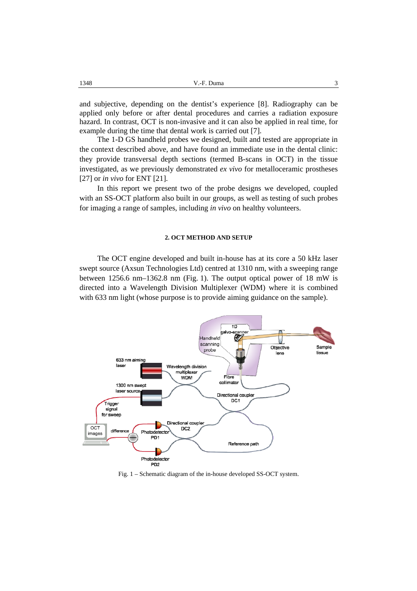and subjective, depending on the dentist's experience [8]. Radiography can be applied only before or after dental procedures and carries a radiation exposure hazard. In contrast, OCT is non-invasive and it can also be applied in real time, for example during the time that dental work is carried out [7].

The 1-D GS handheld probes we designed, built and tested are appropriate in the context described above, and have found an immediate use in the dental clinic: they provide transversal depth sections (termed B-scans in OCT) in the tissue investigated, as we previously demonstrated *ex vivo* for metalloceramic prostheses [27] or *in vivo* for ENT [21].

In this report we present two of the probe designs we developed, coupled with an SS-OCT platform also built in our groups, as well as testing of such probes for imaging a range of samples, including *in vivo* on healthy volunteers.

# **2. OCT METHOD AND SETUP**

The OCT engine developed and built in-house has at its core a 50 kHz laser swept source (Axsun Technologies Ltd) centred at 1310 nm, with a sweeping range between 1256.6 nm–1362.8 nm (Fig. 1). The output optical power of 18 mW is directed into a Wavelength Division Multiplexer (WDM) where it is combined with 633 nm light (whose purpose is to provide aiming guidance on the sample).



Fig. 1 – Schematic diagram of the in-house developed SS-OCT system.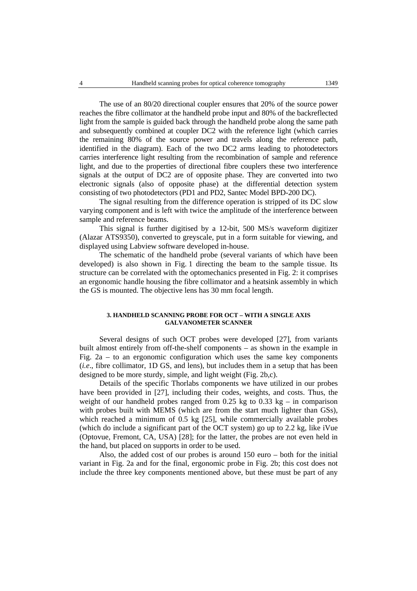The use of an 80/20 directional coupler ensures that 20% of the source power reaches the fibre collimator at the handheld probe input and 80% of the backreflected light from the sample is guided back through the handheld probe along the same path and subsequently combined at coupler DC2 with the reference light (which carries the remaining 80% of the source power and travels along the reference path, identified in the diagram). Each of the two DC2 arms leading to photodetectors carries interference light resulting from the recombination of sample and reference light, and due to the properties of directional fibre couplers these two interference signals at the output of DC2 are of opposite phase. They are converted into two electronic signals (also of opposite phase) at the differential detection system consisting of two photodetectors (PD1 and PD2, Santec Model BPD-200 DC).

The signal resulting from the difference operation is stripped of its DC slow varying component and is left with twice the amplitude of the interference between sample and reference beams.

This signal is further digitised by a 12-bit, 500 MS/s waveform digitizer (Alazar ATS9350), converted to greyscale, put in a form suitable for viewing, and displayed using Labview software developed in-house.

The schematic of the handheld probe (several variants of which have been developed) is also shown in Fig. 1 directing the beam to the sample tissue. Its structure can be correlated with the optomechanics presented in Fig. 2: it comprises an ergonomic handle housing the fibre collimator and a heatsink assembly in which the GS is mounted. The objective lens has 30 mm focal length.

### **3. HANDHELD SCANNING PROBE FOR OCT – WITH A SINGLE AXIS GALVANOMETER SCANNER**

Several designs of such OCT probes were developed [27], from variants built almost entirely from off-the-shelf components – as shown in the example in Fig. 2a – to an ergonomic configuration which uses the same key components (*i.e*., fibre collimator, 1D GS, and lens), but includes them in a setup that has been designed to be more sturdy, simple, and light weight (Fig. 2b,c).

Details of the specific Thorlabs components we have utilized in our probes have been provided in [27], including their codes, weights, and costs. Thus, the weight of our handheld probes ranged from 0.25 kg to 0.33 kg – in comparison with probes built with MEMS (which are from the start much lighter than GSs), which reached a minimum of 0.5 kg [25], while commercially available probes (which do include a significant part of the OCT system) go up to 2.2 kg, like iVue (Optovue, Fremont, CA, USA) [28]; for the latter, the probes are not even held in the hand, but placed on supports in order to be used.

Also, the added cost of our probes is around 150 euro – both for the initial variant in Fig. 2a and for the final, ergonomic probe in Fig. 2b; this cost does not include the three key components mentioned above, but these must be part of any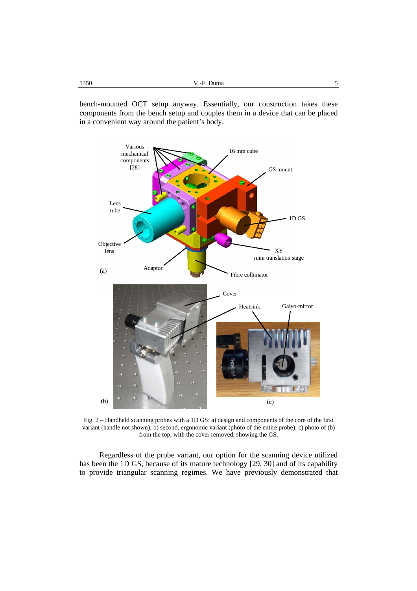bench-mounted OCT setup anyway. Essentially, our construction takes these components from the bench setup and couples them in a device that can be placed in a convenient way around the patient's body.



Fig. 2 – Handheld scanning probes with a 1D GS: a) design and components of the core of the first variant (handle not shown); b) second, ergonomic variant (photo of the entire probe); c) photo of (b) from the top, with the cover removed, showing the GS.

Regardless of the probe variant, our option for the scanning device utilized has been the 1D GS, because of its mature technology [29, 30] and of its capability to provide triangular scanning regimes. We have previously demonstrated that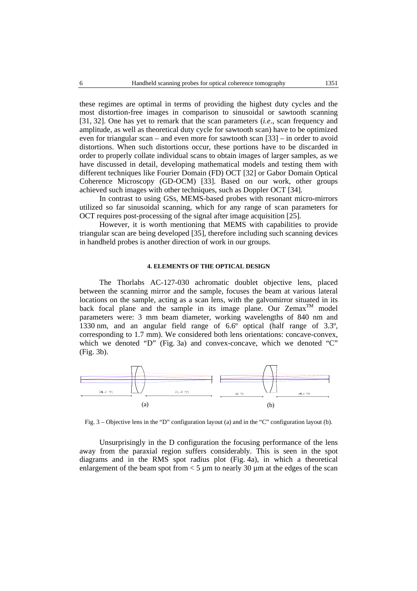these regimes are optimal in terms of providing the highest duty cycles and the most distortion-free images in comparison to sinusoidal or sawtooth scanning [31, 32]. One has yet to remark that the scan parameters (*i.e*., scan frequency and amplitude, as well as theoretical duty cycle for sawtooth scan) have to be optimized even for triangular scan – and even more for sawtooth scan [33] – in order to avoid distortions. When such distortions occur, these portions have to be discarded in order to properly collate individual scans to obtain images of larger samples, as we have discussed in detail, developing mathematical models and testing them with different techniques like Fourier Domain (FD) OCT [32] or Gabor Domain Optical Coherence Microscopy (GD-OCM) [33]. Based on our work, other groups achieved such images with other techniques, such as Doppler OCT [34].

In contrast to using GSs, MEMS-based probes with resonant micro-mirrors utilized so far sinusoidal scanning, which for any range of scan parameters for OCT requires post-processing of the signal after image acquisition [25].

However, it is worth mentioning that MEMS with capabilities to provide triangular scan are being developed [35], therefore including such scanning devices in handheld probes is another direction of work in our groups.

# **4. ELEMENTS OF THE OPTICAL DESIGN**

The Thorlabs AC-127-030 achromatic doublet objective lens, placed between the scanning mirror and the sample, focuses the beam at various lateral locations on the sample, acting as a scan lens, with the galvomirror situated in its back focal plane and the sample in its image plane. Our  $Zemax^{TM}$  model parameters were: 3 mm beam diameter, working wavelengths of 840 nm and 1330 nm, and an angular field range of 6.6º optical (half range of 3.3º, corresponding to 1.7 mm). We considered both lens orientations: concave-convex, which we denoted "D" (Fig. 3a) and convex-concave, which we denoted "C" (Fig. 3b).



Fig. 3 – Objective lens in the "D" configuration layout (a) and in the "C" configuration layout (b).

Unsurprisingly in the D configuration the focusing performance of the lens away from the paraxial region suffers considerably. This is seen in the spot diagrams and in the RMS spot radius plot (Fig. 4a), in which a theoretical enlargement of the beam spot from  $<$  5  $\mu$ m to nearly 30  $\mu$ m at the edges of the scan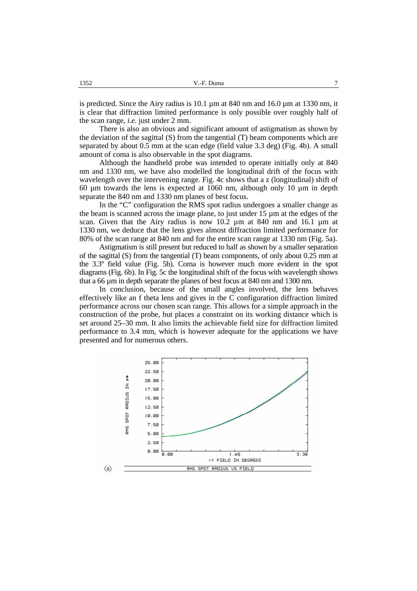is predicted. Since the Airy radius is  $10.1 \mu m$  at  $840 \mu m$  and  $16.0 \mu m$  at  $1330 \mu m$ , it is clear that diffraction limited performance is only possible over roughly half of the scan range, *i.e.* just under 2 mm.

There is also an obvious and significant amount of astigmatism as shown by the deviation of the sagittal  $(S)$  from the tangential  $(T)$  beam components which are separated by about 0.5 mm at the scan edge (field value 3.3 deg) (Fig. 4b). A small amount of coma is also observable in the spot diagrams.

Although the handheld probe was intended to operate initially only at 840 nm and 1330 nm, we have also modelled the longitudinal drift of the focus with wavelength over the intervening range. Fig. 4c shows that a z (longitudinal) shift of 60 µm towards the lens is expected at 1060 nm, although only 10 µm in depth separate the 840 nm and 1330 nm planes of best focus.

In the "C" configuration the RMS spot radius undergoes a smaller change as the beam is scanned across the image plane, to just under 15 µm at the edges of the scan. Given that the Airy radius is now  $10.2 \mu m$  at 840 nm and 16.1  $\mu m$  at 1330 nm, we deduce that the lens gives almost diffraction limited performance for 80% of the scan range at 840 nm and for the entire scan range at 1330 nm (Fig. 5a).

Astigmatism is still present but reduced to half as shown by a smaller separation of the sagittal (S) from the tangential (T) beam components, of only about 0.25 mm at the 3.3º field value (Fig. 5b). Coma is however much more evident in the spot diagrams (Fig. 6b). In Fig. 5c the longitudinal shift of the focus with wavelength shows that a 66 µm in depth separate the planes of best focus at 840 nm and 1300 nm.

In conclusion, because of the small angles involved, the lens behaves effectively like an f theta lens and gives in the C configuration diffraction limited performance across our chosen scan range. This allows for a simple approach in the construction of the probe, but places a constraint on its working distance which is set around 25–30 mm. It also limits the achievable field size for diffraction limited performance to 3.4 mm, which is however adequate for the applications we have presented and for numerous others.

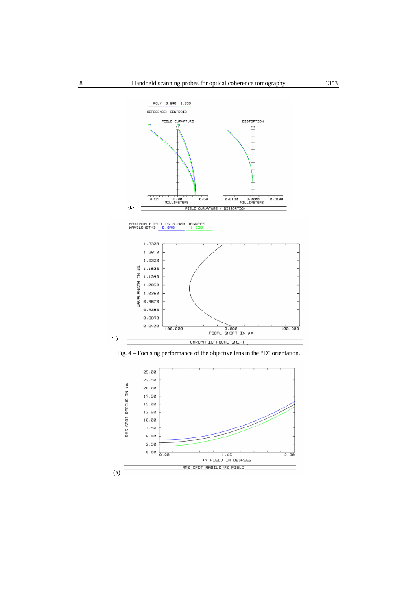

Fig. 4 – Focusing performance of the objective lens in the "D" orientation.

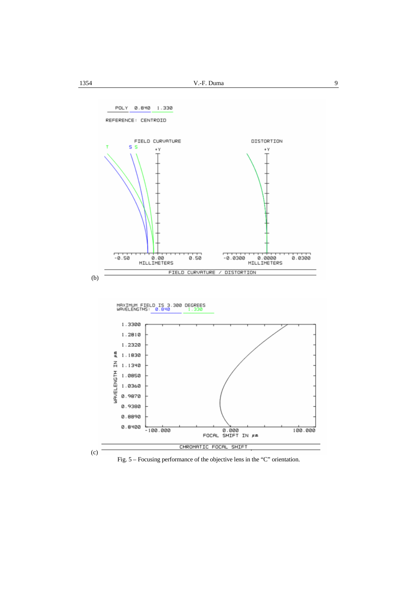



Fig. 5 – Focusing performance of the objective lens in the "C" orientation.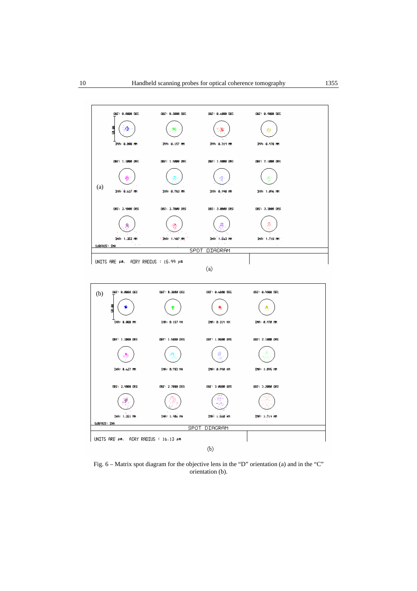

Fig. 6 – Matrix spot diagram for the objective lens in the "D" orientation (a) and in the "C" orientation (b).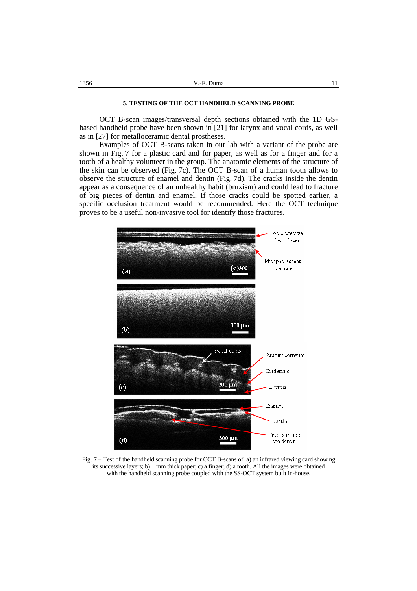# **5. TESTING OF THE OCT HANDHELD SCANNING PROBE**

OCT B-scan images/transversal depth sections obtained with the 1D GSbased handheld probe have been shown in [21] for larynx and vocal cords, as well as in [27] for metalloceramic dental prostheses.

Examples of OCT B-scans taken in our lab with a variant of the probe are shown in Fig. 7 for a plastic card and for paper, as well as for a finger and for a tooth of a healthy volunteer in the group. The anatomic elements of the structure of the skin can be observed (Fig. 7c). The OCT B-scan of a human tooth allows to observe the structure of enamel and dentin (Fig. 7d). The cracks inside the dentin appear as a consequence of an unhealthy habit (bruxism) and could lead to fracture of big pieces of dentin and enamel. If those cracks could be spotted earlier, a specific occlusion treatment would be recommended. Here the OCT technique proves to be a useful non-invasive tool for identify those fractures.



Fig. 7 – Test of the handheld scanning probe for OCT B-scans of: a) an infrared viewing card showing its successive layers; b) 1 mm thick paper; c) a finger; d) a tooth. All the images were obtained with the handheld scanning probe coupled with the SS-OCT system built in-house.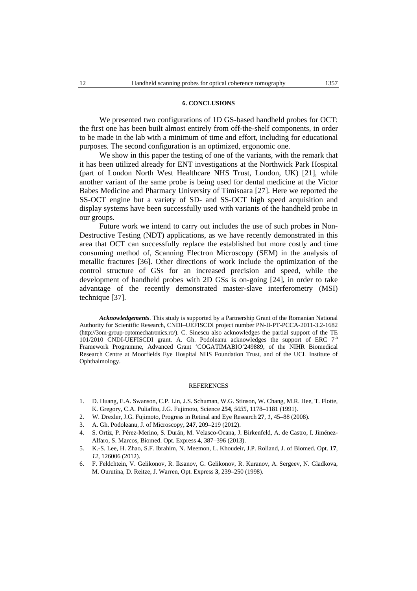#### **6. CONCLUSIONS**

We presented two configurations of 1D GS-based handheld probes for OCT: the first one has been built almost entirely from off-the-shelf components, in order to be made in the lab with a minimum of time and effort, including for educational purposes. The second configuration is an optimized, ergonomic one.

We show in this paper the testing of one of the variants, with the remark that it has been utilized already for ENT investigations at the Northwick Park Hospital (part of London North West Healthcare NHS Trust, London, UK) [21], while another variant of the same probe is being used for dental medicine at the Victor Babes Medicine and Pharmacy University of Timisoara [27]. Here we reported the SS-OCT engine but a variety of SD- and SS-OCT high speed acquisition and display systems have been successfully used with variants of the handheld probe in our groups.

Future work we intend to carry out includes the use of such probes in Non-Destructive Testing (NDT) applications, as we have recently demonstrated in this area that OCT can successfully replace the established but more costly and time consuming method of, Scanning Electron Microscopy (SEM) in the analysis of metallic fractures [36]. Other directions of work include the optimization of the control structure of GSs for an increased precision and speed, while the development of handheld probes with 2D GSs is on-going [24], in order to take advantage of the recently demonstrated master-slave interferometry (MSI) technique [37].

*Acknowledgements*. This study is supported by a Partnership Grant of the Romanian National Authority for Scientific Research, CNDI–UEFISCDI project number PN-II-PT-PCCA-2011-3.2-1682 (http://3om-group-optomechatronics.ro/). C. Sinescu also acknowledges the partial support of the TE 101/2010 CNDI-UEFISCDI grant. A. Gh. Podoleanu acknowledges the support of ERC  $7<sup>th</sup>$ Framework Programme, Advanced Grant 'COGATIMABIO'249889, of the NIHR Biomedical Research Centre at Moorfields Eye Hospital NHS Foundation Trust, and of the UCL Institute of Ophthalmology.

#### REFERENCES

- 1. D. Huang, E.A. Swanson, C.P. Lin, J.S. Schuman, W.G. Stinson, W. Chang, M.R. Hee, T. Flotte, K. Gregory, C.A. Puliafito, J.G. Fujimoto, Science **254**, *5035*, 1178–1181 (1991).
- 2. W. Drexler, J.G. Fujimoto, Progress in Retinal and Eye Research **27**, *1*, 45–88 (2008).
- 3. A. Gh. Podoleanu, J. of Microscopy, **247**, 209–219 (2012).
- 4. S. Ortiz, P. Pérez-Merino, S. Durán, M. Velasco-Ocana, J. Birkenfeld, A. de Castro, I. Jiménez-Alfaro, S. Marcos, Biomed. Opt. Express **4**, 387–396 (2013).
- 5. K.-S. Lee, H. Zhao, S.F. Ibrahim, N. Meemon, L. Khoudeir, J.P. Rolland, J. of Biomed. Opt. **17**, *12*, 126006 (2012).
- 6. F. Feldchtein, V. Gelikonov, R. Iksanov, G. Gelikonov, R. Kuranov, A. Sergeev, N. Gladkova, M. Ourutina, D. Reitze, J. Warren, Opt. Express **3**, 239–250 (1998).